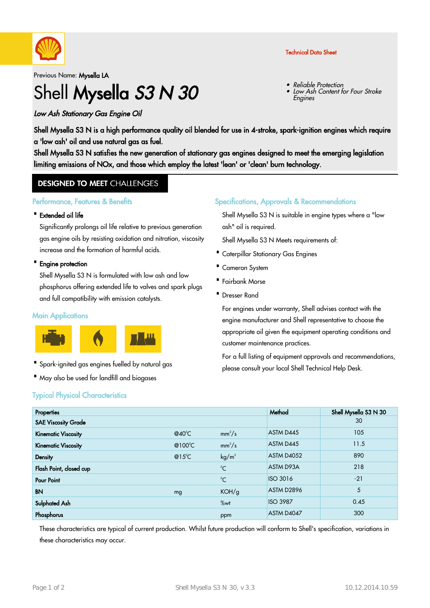

## Technical Data Sheet

Previous Name: Mysella LA

# Shell Mysella S3 N 30

# Low Ash Stationary Gas Engine Oil

#### •Reliable Protection

Low Ash Content for Four Stroke Engines •

Shell Mysella S3 N is a high performance quality oil blended for use in 4-stroke, spark-ignition engines which require a 'low ash' oil and use natural gas as fuel.

Shell Mysella S3 N satisfies the new generation of stationary gas engines designed to meet the emerging legislation limiting emissions of NOx, and those which employ the latest 'lean' or 'clean' burn technology.

# **DESIGNED TO MEET CHALLENGES**

# Performance, Features & Benefits

# · Extended oil life

Significantly prolongs oil life relative to previous generation gas engine oils by resisting oxidation and nitration, viscosity increase and the formation of harmful acids.

# · Engine protection

Shell Mysella S3 N is formulated with low ash and low phosphorus offering extended life to valves and spark plugs and full compatibility with emission catalysts.

# **Main Applications**



- · Spark-ignited gas engines fuelled by natural gas
- · May also be used for landfill and biogases

# Specifications, Approvals & Recommendations

Shell Mysella S3 N is suitable in engine types where a "low ash" oil is required.

Shell Mysella S3 N Meets requirements of:

- · Caterpillar Stationary Gas Engines
- · Cameron System
- · Fairbank Morse
- · Dresser Rand

For engines under warranty, Shell advises contact with the engine manufacturer and Shell representative to choose the appropriate oil given the equipment operating conditions and customer maintenance practices.

For a full listing of equipment approvals and recommendations, please consult your local Shell Technical Help Desk.

# Typical Physical Characteristics

| <b>Properties</b>          |                  |                   | Method          | Shell Mysella S3 N 30 |
|----------------------------|------------------|-------------------|-----------------|-----------------------|
| <b>SAE Viscosity Grade</b> |                  |                   |                 | 30                    |
| <b>Kinematic Viscosity</b> | @40 $^{\circ}$ C | $mm^2/s$          | ASTM D445       | 105                   |
| <b>Kinematic Viscosity</b> | @100°C           | $mm^2/s$          | ASTM D445       | 11.5                  |
| Density                    | @15 $^{\circ}$ C | kg/m <sup>3</sup> | ASTM D4052      | 890                   |
| Flash Point, closed cup    |                  | $^{\circ}C$       | ASTM D93A       | 218                   |
| <b>Pour Point</b>          |                  | $^{\circ}$ C      | ISO 3016        | $-21$                 |
| <b>BN</b>                  | mg               | KOH/g             | ASTM D2896      | 5                     |
| Sulphated Ash              |                  | %wt               | <b>ISO 3987</b> | 0.45                  |
| Phosphorus                 |                  | ppm               | ASTM D4047      | 300                   |

These characteristics are typical of current production. Whilst future production will conform to Shell's specification, variations in these characteristics may occur.